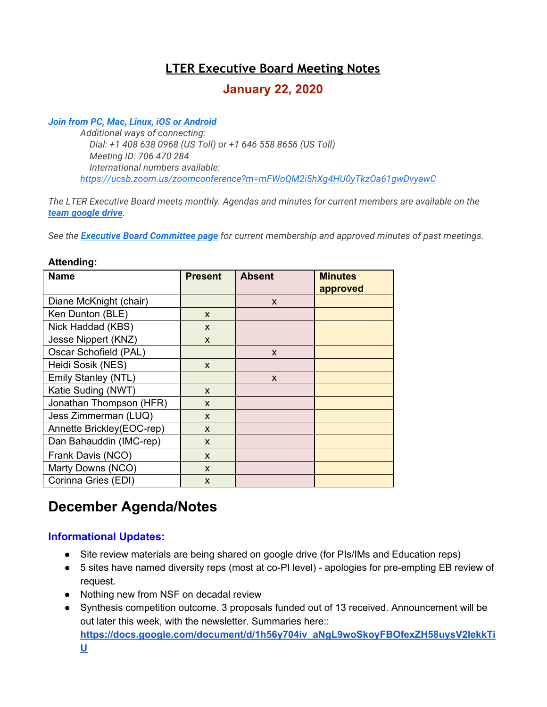# **LTER Executive Board Meeting Notes**

# **January 22, 2020**

#### *[Join from PC, Mac, Linux, iOS or Android](https://ucsb.zoom.us/j/706470284)*

*Additional ways of connecting: Dial: +1 408 638 0968 (US Toll) or +1 646 558 8656 (US Toll) Meeting ID: 706 470 284 International numbers available: <https://ucsb.zoom.us/zoomconference?m=mFWoQM2i5hXg4HU0yTkzOa61gwDvyawC>*

*The LTER Executive Board meets monthly. Agendas and minutes for current members are available on the [team google drive](https://drive.google.com/drive/folders/0AKaWwJjxt2VMUk9PVA).*

*See the [Executive Board Committee page](https://lternet.edu/committees/executive-board/) for current membership and approved minutes of past meetings.*

#### **Attending:**

| <b>Name</b>               | <b>Present</b> | <b>Absent</b> | <b>Minutes</b> |
|---------------------------|----------------|---------------|----------------|
|                           |                |               | approved       |
| Diane McKnight (chair)    |                | X             |                |
| Ken Dunton (BLE)          | $\mathsf{x}$   |               |                |
| Nick Haddad (KBS)         | X              |               |                |
| Jesse Nippert (KNZ)       | X              |               |                |
| Oscar Schofield (PAL)     |                | X             |                |
| Heidi Sosik (NES)         | $\mathsf{x}$   |               |                |
| Emily Stanley (NTL)       |                | X             |                |
| Katie Suding (NWT)        | X              |               |                |
| Jonathan Thompson (HFR)   | X              |               |                |
| Jess Zimmerman (LUQ)      | X              |               |                |
| Annette Brickley(EOC-rep) | X              |               |                |
| Dan Bahauddin (IMC-rep)   | X              |               |                |
| Frank Davis (NCO)         | X              |               |                |
| Marty Downs (NCO)         | X              |               |                |
| Corinna Gries (EDI)       | X              |               |                |

# **December Agenda/Notes**

#### **Informational Updates:**

- Site review materials are being shared on google drive (for PIs/IMs and Education reps)
- 5 sites have named diversity reps (most at co-PI level) apologies for pre-empting EB review of request.
- Nothing new from NSF on decadal review
- Synthesis competition outcome. 3 proposals funded out of 13 received. Announcement will be out later this week, with the newsletter. Summaries here:: **[https://docs.google.com/document/d/1h56y704iv\\_aNgL9woSkoyFBOfexZH58uysV2lekkTi](https://docs.google.com/document/d/1h56y704iv_aNgL9woSkoyFBOfexZH58uysV2lekkTiU/edit) [U](https://docs.google.com/document/d/1h56y704iv_aNgL9woSkoyFBOfexZH58uysV2lekkTiU/edit)**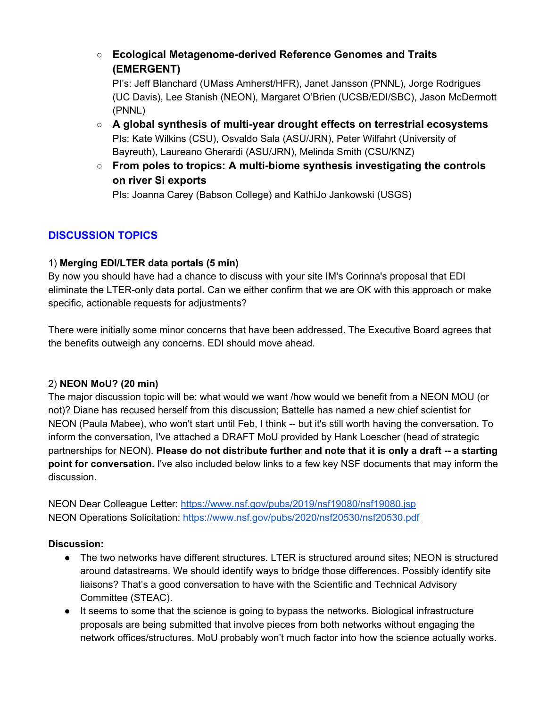○ **Ecological Metagenome-derived Reference Genomes and Traits (EMERGENT)**

PI's: Jeff Blanchard (UMass Amherst/HFR), Janet Jansson (PNNL), Jorge Rodrigues (UC Davis), Lee Stanish (NEON), Margaret O'Brien (UCSB/EDI/SBC), Jason McDermott (PNNL)

- **A global synthesis of multi-year drought effects on terrestrial ecosystems** PIs: Kate Wilkins (CSU), Osvaldo Sala (ASU/JRN), Peter Wilfahrt (University of Bayreuth), Laureano Gherardi (ASU/JRN), Melinda Smith (CSU/KNZ)
- **From poles to tropics: A multi-biome synthesis investigating the controls on river Si exports**

PIs: Joanna Carey (Babson College) and KathiJo Jankowski (USGS)

## **DISCUSSION TOPICS**

#### 1) **Merging EDI/LTER data portals (5 min)**

By now you should have had a chance to discuss with your site IM's Corinna's proposal that EDI eliminate the LTER-only data portal. Can we either confirm that we are OK with this approach or make specific, actionable requests for adjustments?

There were initially some minor concerns that have been addressed. The Executive Board agrees that the benefits outweigh any concerns. EDI should move ahead.

### 2) **NEON MoU? (20 min)**

The major discussion topic will be: what would we want /how would we benefit from a NEON MOU (or not)? Diane has recused herself from this discussion; Battelle has named a new chief scientist for NEON (Paula Mabee), who won't start until Feb, I think -- but it's still worth having the conversation. To inform the conversation, I've attached a DRAFT MoU provided by Hank Loescher (head of strategic partnerships for NEON). **Please do not distribute further and note that it is only a draft -- a starting point for conversation.** I've also included below links to a few key NSF documents that may inform the discussion.

NEON Dear Colleague Letter: <https://www.nsf.gov/pubs/2019/nsf19080/nsf19080.jsp> NEON Operations Solicitation: <https://www.nsf.gov/pubs/2020/nsf20530/nsf20530.pdf>

#### **Discussion:**

- The two networks have different structures. LTER is structured around sites; NEON is structured around datastreams. We should identify ways to bridge those differences. Possibly identify site liaisons? That's a good conversation to have with the Scientific and Technical Advisory Committee (STEAC).
- It seems to some that the science is going to bypass the networks. Biological infrastructure proposals are being submitted that involve pieces from both networks without engaging the network offices/structures. MoU probably won't much factor into how the science actually works.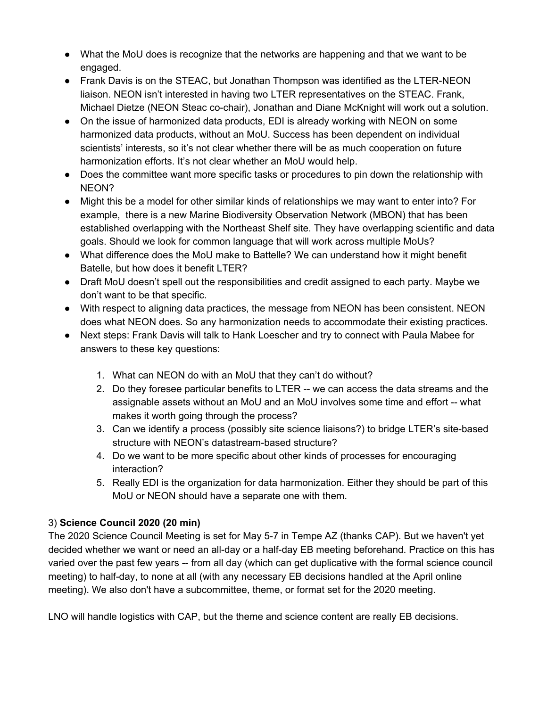- What the MoU does is recognize that the networks are happening and that we want to be engaged.
- Frank Davis is on the STEAC, but Jonathan Thompson was identified as the LTER-NEON liaison. NEON isn't interested in having two LTER representatives on the STEAC. Frank, Michael Dietze (NEON Steac co-chair), Jonathan and Diane McKnight will work out a solution.
- On the issue of harmonized data products, EDI is already working with NEON on some harmonized data products, without an MoU. Success has been dependent on individual scientists' interests, so it's not clear whether there will be as much cooperation on future harmonization efforts. It's not clear whether an MoU would help.
- Does the committee want more specific tasks or procedures to pin down the relationship with NEON?
- Might this be a model for other similar kinds of relationships we may want to enter into? For example, there is a new Marine Biodiversity Observation Network (MBON) that has been established overlapping with the Northeast Shelf site. They have overlapping scientific and data goals. Should we look for common language that will work across multiple MoUs?
- What difference does the MoU make to Battelle? We can understand how it might benefit Batelle, but how does it benefit LTER?
- Draft MoU doesn't spell out the responsibilities and credit assigned to each party. Maybe we don't want to be that specific.
- With respect to aligning data practices, the message from NEON has been consistent. NEON does what NEON does. So any harmonization needs to accommodate their existing practices.
- Next steps: Frank Davis will talk to Hank Loescher and try to connect with Paula Mabee for answers to these key questions:
	- 1. What can NEON do with an MoU that they can't do without?
	- 2. Do they foresee particular benefits to LTER -- we can access the data streams and the assignable assets without an MoU and an MoU involves some time and effort -- what makes it worth going through the process?
	- 3. Can we identify a process (possibly site science liaisons?) to bridge LTER's site-based structure with NEON's datastream-based structure?
	- 4. Do we want to be more specific about other kinds of processes for encouraging interaction?
	- 5. Really EDI is the organization for data harmonization. Either they should be part of this MoU or NEON should have a separate one with them.

# 3) **Science Council 2020 (20 min)**

The 2020 Science Council Meeting is set for May 5-7 in Tempe AZ (thanks CAP). But we haven't yet decided whether we want or need an all-day or a half-day EB meeting beforehand. Practice on this has varied over the past few years -- from all day (which can get duplicative with the formal science council meeting) to half-day, to none at all (with any necessary EB decisions handled at the April online meeting). We also don't have a subcommittee, theme, or format set for the 2020 meeting.

LNO will handle logistics with CAP, but the theme and science content are really EB decisions.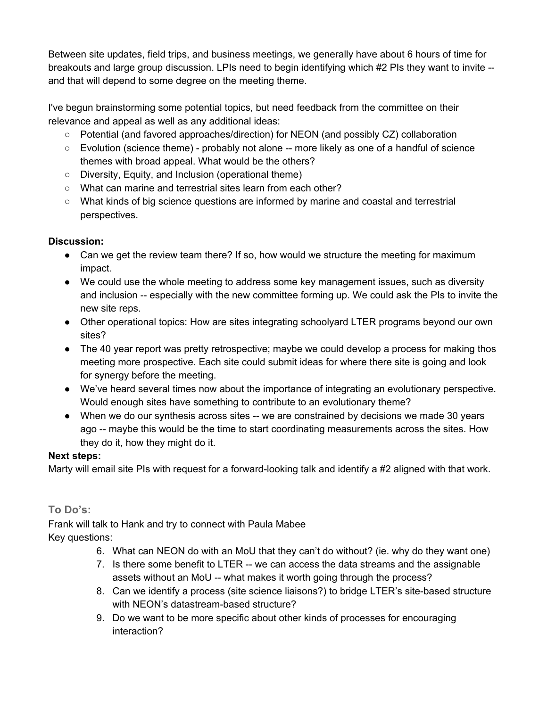Between site updates, field trips, and business meetings, we generally have about 6 hours of time for breakouts and large group discussion. LPIs need to begin identifying which #2 PIs they want to invite - and that will depend to some degree on the meeting theme.

I've begun brainstorming some potential topics, but need feedback from the committee on their relevance and appeal as well as any additional ideas:

- Potential (and favored approaches/direction) for NEON (and possibly CZ) collaboration
- Evolution (science theme) probably not alone -- more likely as one of a handful of science themes with broad appeal. What would be the others?
- Diversity, Equity, and Inclusion (operational theme)
- What can marine and terrestrial sites learn from each other?
- What kinds of big science questions are informed by marine and coastal and terrestrial perspectives.

### **Discussion:**

- Can we get the review team there? If so, how would we structure the meeting for maximum impact.
- We could use the whole meeting to address some key management issues, such as diversity and inclusion -- especially with the new committee forming up. We could ask the PIs to invite the new site reps.
- Other operational topics: How are sites integrating schoolyard LTER programs beyond our own sites?
- The 40 year report was pretty retrospective; maybe we could develop a process for making thos meeting more prospective. Each site could submit ideas for where there site is going and look for synergy before the meeting.
- We've heard several times now about the importance of integrating an evolutionary perspective. Would enough sites have something to contribute to an evolutionary theme?
- When we do our synthesis across sites -- we are constrained by decisions we made 30 years ago -- maybe this would be the time to start coordinating measurements across the sites. How they do it, how they might do it.

### **Next steps:**

Marty will email site PIs with request for a forward-looking talk and identify a #2 aligned with that work.

# **To Do's:**

Frank will talk to Hank and try to connect with Paula Mabee Key questions:

- 6. What can NEON do with an MoU that they can't do without? (ie. why do they want one)
- 7. Is there some benefit to LTER -- we can access the data streams and the assignable assets without an MoU -- what makes it worth going through the process?
- 8. Can we identify a process (site science liaisons?) to bridge LTER's site-based structure with NEON's datastream-based structure?
- 9. Do we want to be more specific about other kinds of processes for encouraging interaction?